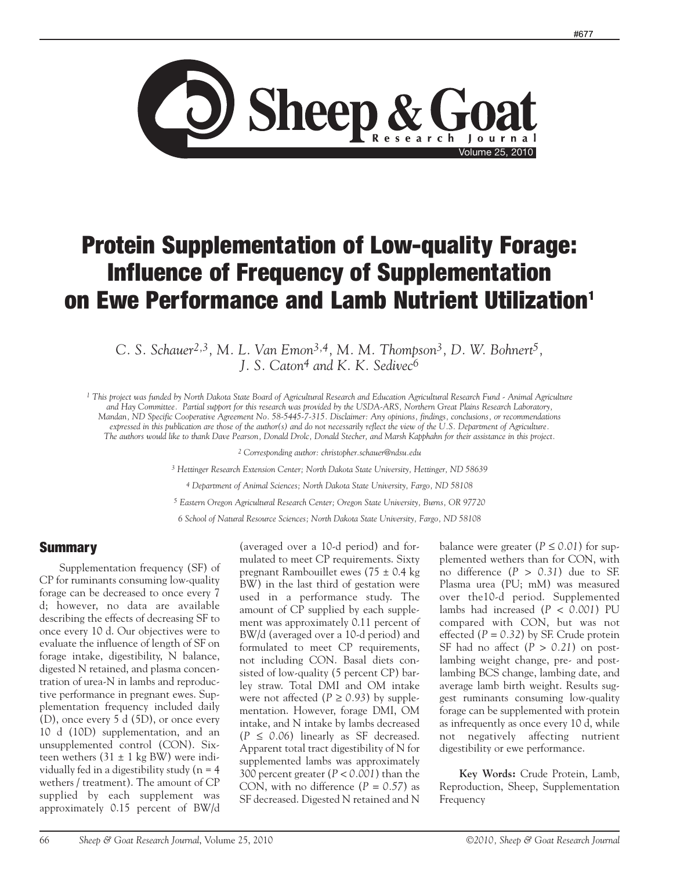

# Protein Supplementation of Low-quality Forage: Influence of Frequency of Supplementation on Ewe Performance and Lamb Nutrient Utilization<sup>1</sup>

*C. S. Schauer2,3, M. L. Van Emon3,4, M. M. Thompson3, D. W. Bohnert5, J. S. Caton4 and K. K. Sedivec6*

*1 This project was funded by North Dakota State Board of Agricultural Research and Education Agricultural Research Fund - Animal Agriculture and Hay Committee. Partial support for this research was provided by the USDA-ARS, Northern Great Plains Research Laboratory, Mandan, ND Specific Cooperative Agreement No. 58-5445-7-315. Disclaimer: Any opinions, findings, conclusions, or recommendations* 

*expressed in this publication are those of the author(s) and do not necessarily reflect the view of the U.S. Department of Agriculture. The authors would like to thank Dave Pearson, Donald Drolc, Donald Stecher, and Marsh Kapphahn for their assistance in this project.* 

*2 Corresponding author: christopher.schauer@ndsu.edu*

*3 Hettinger Research Extension Center; North Dakota State University, Hettinger, ND 58639*

*4 Department of Animal Sciences; North Dakota State University, Fargo, ND 58108*

*5 Eastern Oregon Agricultural Research Center; Oregon State University, Burns, OR 97720*

*6 School of Natural Resource Sciences; North Dakota State University, Fargo, ND 58108*

#### **Summary**

Supplementation frequency (SF) of CP for ruminants consuming low-quality forage can be decreased to once every 7 d; however, no data are available describing the effects of decreasing SF to once every 10 d. Our objectives were to evaluate the influence of length of SF on forage intake, digestibility, N balance, digested N retained, and plasma concentration of urea-N in lambs and reproductive performance in pregnant ewes. Supplementation frequency included daily (D), once every 5 d (5D), or once every 10 d (10D) supplementation, and an unsupplemented control (CON). Sixteen wethers  $(31 \pm 1 \text{ kg BW})$  were individually fed in a digestibility study  $(n = 4)$ wethers / treatment). The amount of CP supplied by each supplement was approximately 0.15 percent of BW/d

(averaged over a 10-d period) and formulated to meet CP requirements. Sixty pregnant Rambouillet ewes (75 ± 0.4 kg BW) in the last third of gestation were used in a performance study. The amount of CP supplied by each supplement was approximately 0.11 percent of BW/d (averaged over a 10-d period) and formulated to meet CP requirements, not including CON. Basal diets consisted of low-quality (5 percent CP) barley straw. Total DMI and OM intake were not affected  $(P \ge 0.93)$  by supplementation. However, forage DMI, OM intake, and N intake by lambs decreased (*P* ≤ *0.06*) linearly as SF decreased. Apparent total tract digestibility of N for supplemented lambs was approximately 300 percent greater (*P < 0.001*) than the CON, with no difference  $(P = 0.57)$  as SF decreased. Digested N retained and N

balance were greater  $(P \le 0.01)$  for supplemented wethers than for CON, with no difference (*P > 0.31*) due to SF. Plasma urea (PU; mM) was measured over the10-d period. Supplemented lambs had increased (*P < 0.001*) PU compared with CON, but was not effected  $(P = 0.32)$  by SF. Crude protein SF had no affect  $(P > 0.21)$  on postlambing weight change, pre- and postlambing BCS change, lambing date, and average lamb birth weight. Results suggest ruminants consuming low-quality forage can be supplemented with protein as infrequently as once every 10 d, while not negatively affecting nutrient digestibility or ewe performance.

**Key Words:** Crude Protein, Lamb, Reproduction, Sheep, Supplementation Frequency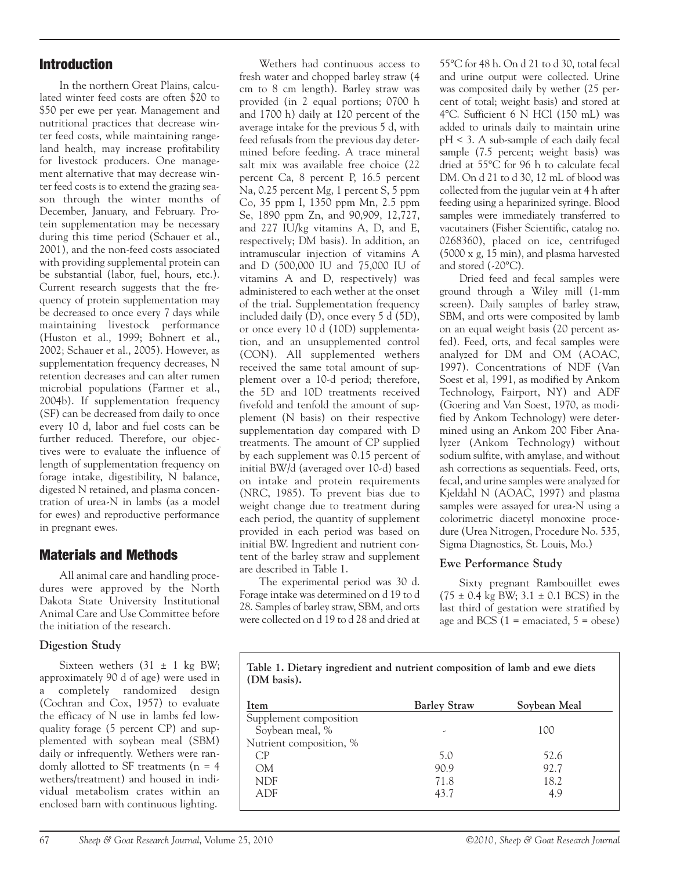### Introduction

In the northern Great Plains, calculated winter feed costs are often \$20 to \$50 per ewe per year. Management and nutritional practices that decrease winter feed costs, while maintaining rangeland health, may increase profitability for livestock producers. One management alternative that may decrease winter feed costs is to extend the grazing season through the winter months of December, January, and February. Protein supplementation may be necessary during this time period (Schauer et al., 2001), and the non-feed costs associated with providing supplemental protein can be substantial (labor, fuel, hours, etc.). Current research suggests that the frequency of protein supplementation may be decreased to once every 7 days while maintaining livestock performance (Huston et al., 1999; Bohnert et al., 2002; Schauer et al., 2005). However, as supplementation frequency decreases, N retention decreases and can alter rumen microbial populations (Farmer et al., 2004b). If supplementation frequency (SF) can be decreased from daily to once every 10 d, labor and fuel costs can be further reduced. Therefore, our objectives were to evaluate the influence of length of supplementation frequency on forage intake, digestibility, N balance, digested N retained, and plasma concentration of urea-N in lambs (as a model for ewes) and reproductive performance in pregnant ewes.

# Materials and Methods

All animal care and handling procedures were approved by the North Dakota State University Institutional Animal Care and Use Committee before the initiation of the research.

#### **Digestion Study**

Sixteen wethers  $(31 \pm 1 \text{ kg BW})$ ; approximately 90 d of age) were used in a completely randomized design (Cochran and Cox, 1957) to evaluate the efficacy of N use in lambs fed lowquality forage (5 percent CP) and supplemented with soybean meal (SBM) daily or infrequently. Wethers were randomly allotted to SF treatments ( $n = 4$ wethers/treatment) and housed in individual metabolism crates within an enclosed barn with continuous lighting.

Wethers had continuous access to fresh water and chopped barley straw (4 cm to 8 cm length). Barley straw was provided (in 2 equal portions; 0700 h and 1700 h) daily at 120 percent of the average intake for the previous 5 d, with feed refusals from the previous day determined before feeding. A trace mineral salt mix was available free choice (22 percent Ca, 8 percent P, 16.5 percent Na, 0.25 percent Mg, 1 percent S, 5 ppm Co, 35 ppm I, 1350 ppm Mn, 2.5 ppm Se, 1890 ppm Zn, and 90,909, 12,727, and 227 IU/kg vitamins A, D, and E, respectively; DM basis). In addition, an intramuscular injection of vitamins A and D (500,000 IU and 75,000 IU of vitamins A and D, respectively) was administered to each wether at the onset of the trial. Supplementation frequency included daily (D), once every 5 d (5D), or once every 10 d (10D) supplementation, and an unsupplemented control (CON). All supplemented wethers received the same total amount of supplement over a 10-d period; therefore, the 5D and 10D treatments received fivefold and tenfold the amount of supplement (N basis) on their respective supplementation day compared with D treatments. The amount of CP supplied by each supplement was 0.15 percent of initial BW/d (averaged over 10-d) based on intake and protein requirements (NRC, 1985). To prevent bias due to weight change due to treatment during each period, the quantity of supplement provided in each period was based on initial BW. Ingredient and nutrient content of the barley straw and supplement are described in Table 1.

The experimental period was 30 d. Forage intake was determined on d 19 to d 28. Samples of barley straw, SBM, and orts were collected on d 19 to d 28 and dried at 55°C for 48 h. On d 21 to d 30, total fecal and urine output were collected. Urine was composited daily by wether (25 percent of total; weight basis) and stored at 4°C. Sufficient 6 N HCl (150 mL) was added to urinals daily to maintain urine pH < 3. A sub-sample of each daily fecal sample (7.5 percent; weight basis) was dried at 55°C for 96 h to calculate fecal DM. On d 21 to d 30, 12 mL of blood was collected from the jugular vein at 4 h after feeding using a heparinized syringe. Blood samples were immediately transferred to vacutainers (Fisher Scientific, catalog no. 0268360), placed on ice, centrifuged (5000 x g, 15 min), and plasma harvested and stored (-20°C).

Dried feed and fecal samples were ground through a Wiley mill (1-mm screen). Daily samples of barley straw, SBM, and orts were composited by lamb on an equal weight basis (20 percent asfed). Feed, orts, and fecal samples were analyzed for DM and OM (AOAC, 1997). Concentrations of NDF (Van Soest et al, 1991, as modified by Ankom Technology, Fairport, NY) and ADF (Goering and Van Soest, 1970, as modified by Ankom Technology) were determined using an Ankom 200 Fiber Analyzer (Ankom Technology) without sodium sulfite, with amylase, and without ash corrections as sequentials. Feed, orts, fecal, and urine samples were analyzed for Kjeldahl N (AOAC, 1997) and plasma samples were assayed for urea-N using a colorimetric diacetyl monoxine procedure (Urea Nitrogen, Procedure No. 535, Sigma Diagnostics, St. Louis, Mo.)

#### **Ewe Performance Study**

Sixty pregnant Rambouillet ewes  $(75 \pm 0.4 \text{ kg BW}; 3.1 \pm 0.1 \text{ BCS})$  in the last third of gestation were stratified by age and BCS  $(1 =$  emaciated,  $5 =$  obese)

| Table 1. Dietary ingredient and nutrient composition of lamb and ewe diets |
|----------------------------------------------------------------------------|
| $\mid$ (DM basis).                                                         |

| Item                    | <b>Barley Straw</b> | Soybean Meal |
|-------------------------|---------------------|--------------|
| Supplement composition  |                     |              |
| Soybean meal, %         | ٠                   | 100          |
| Nutrient composition, % |                     |              |
| СP                      | 5.0                 | 52.6         |
| OМ                      | 90.9                | 92.7         |
| <b>NDF</b>              | 71.8                | 18.2         |
| ADF                     | 43.7                | 4.9          |
|                         |                     |              |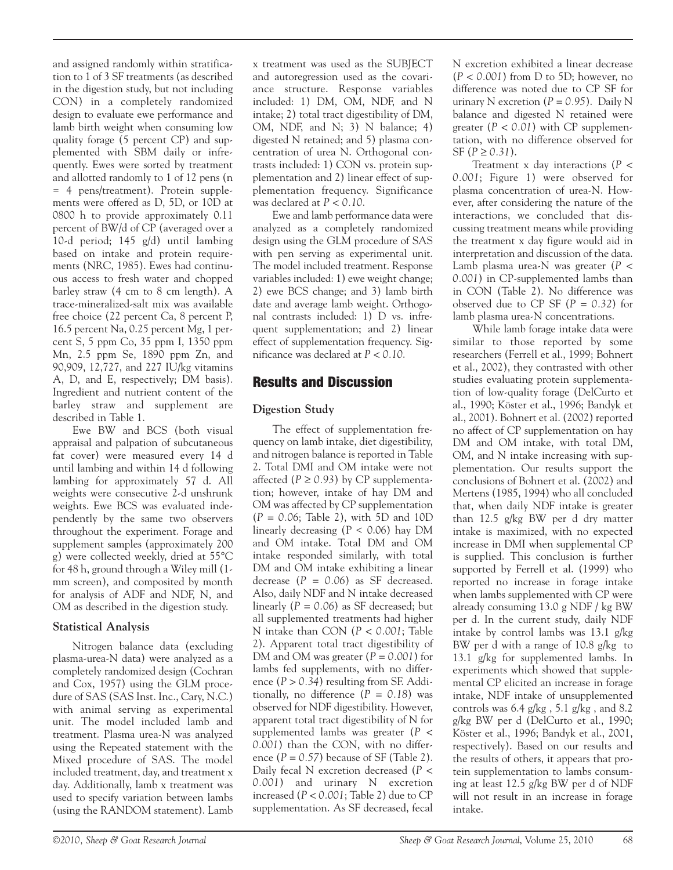and assigned randomly within stratification to 1 of 3 SF treatments (as described in the digestion study, but not including CON) in a completely randomized design to evaluate ewe performance and lamb birth weight when consuming low quality forage (5 percent CP) and supplemented with SBM daily or infrequently. Ewes were sorted by treatment and allotted randomly to 1 of 12 pens (n = 4 pens/treatment). Protein supplements were offered as D, 5D, or 10D at 0800 h to provide approximately 0.11 percent of BW/d of CP (averaged over a 10-d period; 145 g/d) until lambing based on intake and protein requirements (NRC, 1985). Ewes had continuous access to fresh water and chopped barley straw (4 cm to 8 cm length). A trace-mineralized-salt mix was available free choice (22 percent Ca, 8 percent P, 16.5 percent Na, 0.25 percent Mg, 1 percent S, 5 ppm Co, 35 ppm I, 1350 ppm Mn, 2.5 ppm Se, 1890 ppm Zn, and 90,909, 12,727, and 227 IU/kg vitamins A, D, and E, respectively; DM basis). Ingredient and nutrient content of the barley straw and supplement are described in Table 1.

Ewe BW and BCS (both visual appraisal and palpation of subcutaneous fat cover) were measured every 14 d until lambing and within 14 d following lambing for approximately 57 d. All weights were consecutive 2-d unshrunk weights. Ewe BCS was evaluated independently by the same two observers throughout the experiment. Forage and supplement samples (approximately 200 g) were collected weekly, dried at 55°C for 48 h, ground through a Wiley mill (1 mm screen), and composited by month for analysis of ADF and NDF, N, and OM as described in the digestion study.

#### **Statistical Analysis**

Nitrogen balance data (excluding plasma-urea-N data) were analyzed as a completely randomized design (Cochran and Cox, 1957) using the GLM procedure of SAS (SAS Inst. Inc., Cary, N.C.) with animal serving as experimental unit. The model included lamb and treatment. Plasma urea-N was analyzed using the Repeated statement with the Mixed procedure of SAS. The model included treatment, day, and treatment x day. Additionally, lamb x treatment was used to specify variation between lambs (using the RANDOM statement). Lamb

x treatment was used as the SUBJECT and autoregression used as the covariance structure. Response variables included: 1) DM, OM, NDF, and N intake; 2) total tract digestibility of DM, OM, NDF, and N; 3) N balance; 4) digested N retained; and 5) plasma concentration of urea N. Orthogonal contrasts included: 1) CON vs. protein supplementation and 2) linear effect of supplementation frequency. Significance was declared at *P < 0.10*.

Ewe and lamb performance data were analyzed as a completely randomized design using the GLM procedure of SAS with pen serving as experimental unit. The model included treatment. Response variables included: 1) ewe weight change; 2) ewe BCS change; and 3) lamb birth date and average lamb weight. Orthogonal contrasts included: 1) D vs. infrequent supplementation; and 2) linear effect of supplementation frequency. Significance was declared at *P < 0.10*.

# Results and Discussion

#### **Digestion Study**

The effect of supplementation frequency on lamb intake, diet digestibility, and nitrogen balance is reported in Table 2. Total DMI and OM intake were not affected  $(P \ge 0.93)$  by CP supplementation; however, intake of hay DM and OM was affected by CP supplementation (*P = 0.06*; Table 2), with 5D and 10D linearly decreasing  $(P < 0.06)$  hay DM and OM intake. Total DM and OM intake responded similarly, with total DM and OM intake exhibiting a linear decrease (*P = 0.06*) as SF decreased. Also, daily NDF and N intake decreased linearly (*P = 0.06*) as SF decreased; but all supplemented treatments had higher N intake than CON (*P < 0.001*; Table 2). Apparent total tract digestibility of DM and OM was greater (*P = 0.001*) for lambs fed supplements, with no difference (*P > 0.34*) resulting from SF. Additionally, no difference  $(P = 0.18)$  was observed for NDF digestibility. However, apparent total tract digestibility of N for supplemented lambs was greater (*P < 0.001*) than the CON, with no difference  $(P = 0.57)$  because of SF (Table 2). Daily fecal N excretion decreased (*P < 0.001*) and urinary N excretion increased (*P < 0.001*; Table 2) due to CP supplementation. As SF decreased, fecal

N excretion exhibited a linear decrease (*P < 0.001*) from D to 5D; however, no difference was noted due to CP SF for urinary N excretion  $(P = 0.95)$ . Daily N balance and digested N retained were greater  $(P < 0.01)$  with CP supplementation, with no difference observed for  $SF (P \ge 0.31).$ 

Treatment x day interactions (*P < 0.001*; Figure 1) were observed for plasma concentration of urea-N. However, after considering the nature of the interactions, we concluded that discussing treatment means while providing the treatment x day figure would aid in interpretation and discussion of the data. Lamb plasma urea-N was greater (*P < 0.001*) in CP-supplemented lambs than in CON (Table 2). No difference was observed due to CP SF (*P = 0.32*) for lamb plasma urea-N concentrations.

While lamb forage intake data were similar to those reported by some researchers (Ferrell et al., 1999; Bohnert et al., 2002), they contrasted with other studies evaluating protein supplementation of low-quality forage (DelCurto et al., 1990; Köster et al., 1996; Bandyk et al., 2001). Bohnert et al. (2002) reported no affect of CP supplementation on hay DM and OM intake, with total DM, OM, and N intake increasing with supplementation. Our results support the conclusions of Bohnert et al. (2002) and Mertens (1985, 1994) who all concluded that, when daily NDF intake is greater than 12.5 g/kg BW per d dry matter intake is maximized, with no expected increase in DMI when supplemental CP is supplied. This conclusion is further supported by Ferrell et al. (1999) who reported no increase in forage intake when lambs supplemented with CP were already consuming 13.0 g NDF / kg BW per d. In the current study, daily NDF intake by control lambs was 13.1 g/kg BW per d with a range of 10.8 g/kg to 13.1 g/kg for supplemented lambs. In experiments which showed that supplemental CP elicited an increase in forage intake, NDF intake of unsupplemented controls was  $6.4$  g/kg,  $5.1$  g/kg, and  $8.2$ g/kg BW per d (DelCurto et al., 1990; Köster et al., 1996; Bandyk et al., 2001, respectively). Based on our results and the results of others, it appears that protein supplementation to lambs consuming at least 12.5 g/kg BW per d of NDF will not result in an increase in forage intake.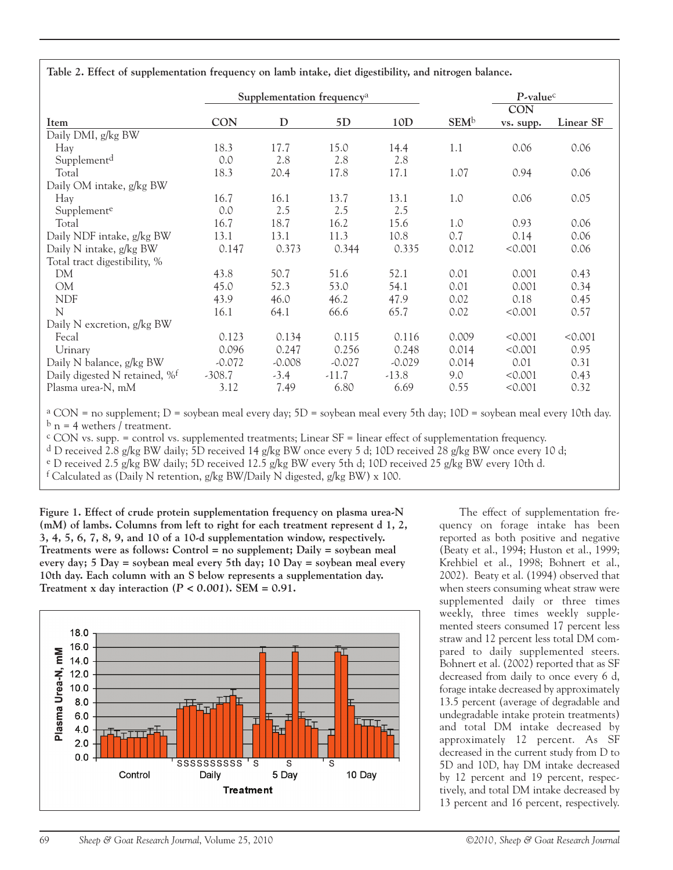|                                           | Supplementation frequency <sup>a</sup> |          |          |                 | P-value <sup>c</sup>    |            |           |  |
|-------------------------------------------|----------------------------------------|----------|----------|-----------------|-------------------------|------------|-----------|--|
|                                           |                                        |          |          |                 |                         | <b>CON</b> |           |  |
| Item                                      | <b>CON</b>                             | D        | 5D       | 10 <sub>D</sub> | <b>SEM</b> <sup>b</sup> | vs. supp.  | Linear SF |  |
| Daily DMI, g/kg BW                        |                                        |          |          |                 |                         |            |           |  |
| Hay                                       | 18.3                                   | 17.7     | 15.0     | 14.4            | 1.1                     | 0.06       | 0.06      |  |
| Supplement <sup>d</sup>                   | 0.0                                    | 2.8      | 2.8      | 2.8             |                         |            |           |  |
| Total                                     | 18.3                                   | 20.4     | 17.8     | 17.1            | 1.07                    | 0.94       | 0.06      |  |
| Daily OM intake, g/kg BW                  |                                        |          |          |                 |                         |            |           |  |
| Hay                                       | 16.7                                   | 16.1     | 13.7     | 13.1            | 1.0                     | 0.06       | 0.05      |  |
| Supplemente                               | 0.0                                    | 2.5      | 2.5      | 2.5             |                         |            |           |  |
| Total                                     | 16.7                                   | 18.7     | 16.2     | 15.6            | 1.0                     | 0.93       | 0.06      |  |
| Daily NDF intake, g/kg BW                 | 13.1                                   | 13.1     | 11.3     | 10.8            | 0.7                     | 0.14       | 0.06      |  |
| Daily N intake, g/kg BW                   | 0.147                                  | 0.373    | 0.344    | 0.335           | 0.012                   | < 0.001    | 0.06      |  |
| Total tract digestibility, %              |                                        |          |          |                 |                         |            |           |  |
| DM                                        | 43.8                                   | 50.7     | 51.6     | 52.1            | 0.01                    | 0.001      | 0.43      |  |
| <b>OM</b>                                 | 45.0                                   | 52.3     | 53.0     | 54.1            | 0.01                    | 0.001      | 0.34      |  |
| <b>NDF</b>                                | 43.9                                   | 46.0     | 46.2     | 47.9            | 0.02                    | 0.18       | 0.45      |  |
| N                                         | 16.1                                   | 64.1     | 66.6     | 65.7            | 0.02                    | < 0.001    | 0.57      |  |
| Daily N excretion, g/kg BW                |                                        |          |          |                 |                         |            |           |  |
| Fecal                                     | 0.123                                  | 0.134    | 0.115    | 0.116           | 0.009                   | < 0.001    | < 0.001   |  |
| Urinary                                   | 0.096                                  | 0.247    | 0.256    | 0.248           | 0.014                   | < 0.001    | 0.95      |  |
| Daily N balance, g/kg BW                  | $-0.072$                               | $-0.008$ | $-0.027$ | $-0.029$        | 0.014                   | 0.01       | 0.31      |  |
| Daily digested N retained, % <sup>f</sup> | $-308.7$                               | $-3.4$   | $-11.7$  | $-13.8$         | 9.0                     | < 0.001    | 0.43      |  |
| Plasma urea-N, mM                         | 3.12                                   | 7.49     | 6.80     | 6.69            | 0.55                    | < 0.001    | 0.32      |  |

**Table 2. Effect of supplementation frequency on lamb intake, diet digestibility, and nitrogen balance.**

a CON = no supplement; D = soybean meal every day; 5D = soybean meal every 5th day; 10D = soybean meal every 10th day.  $b_n = 4$  wethers / treatment.

 $\epsilon$  CON vs. supp. = control vs. supplemented treatments; Linear SF = linear effect of supplementation frequency.

d D received 2.8 g/kg BW daily; 5D received 14 g/kg BW once every 5 d; 10D received 28 g/kg BW once every 10 d;

e D received 2.5 g/kg BW daily; 5D received 12.5 g/kg BW every 5th d; 10D received 25 g/kg BW every 10th d.

f Calculated as (Daily N retention, g/kg BW/Daily N digested, g/kg BW) x 100.

**Figure 1. Effect of crude protein supplementation frequency on plasma urea-N (m***M***) of lambs. Columns from left to right for each treatment represent d 1, 2, 3, 4, 5, 6, 7, 8, 9, and 10 of a 10-d supplementation window, respectively. Treatments were as follows: Control = no supplement; Daily = soybean meal every day; 5 Day = soybean meal every 5th day; 10 Day = soybean meal every 10th day. Each column with an S below represents a supplementation day. Treatment x day interaction (***P < 0.001***). SEM = 0.91.**



The effect of supplementation frequency on forage intake has been reported as both positive and negative (Beaty et al., 1994; Huston et al., 1999; Krehbiel et al., 1998; Bohnert et al., 2002). Beaty et al. (1994) observed that when steers consuming wheat straw were supplemented daily or three times weekly, three times weekly supplemented steers consumed 17 percent less straw and 12 percent less total DM compared to daily supplemented steers. Bohnert et al. (2002) reported that as SF decreased from daily to once every 6 d, forage intake decreased by approximately 13.5 percent (average of degradable and undegradable intake protein treatments) and total DM intake decreased by approximately 12 percent. As SF decreased in the current study from D to 5D and 10D, hay DM intake decreased by 12 percent and 19 percent, respectively, and total DM intake decreased by 13 percent and 16 percent, respectively.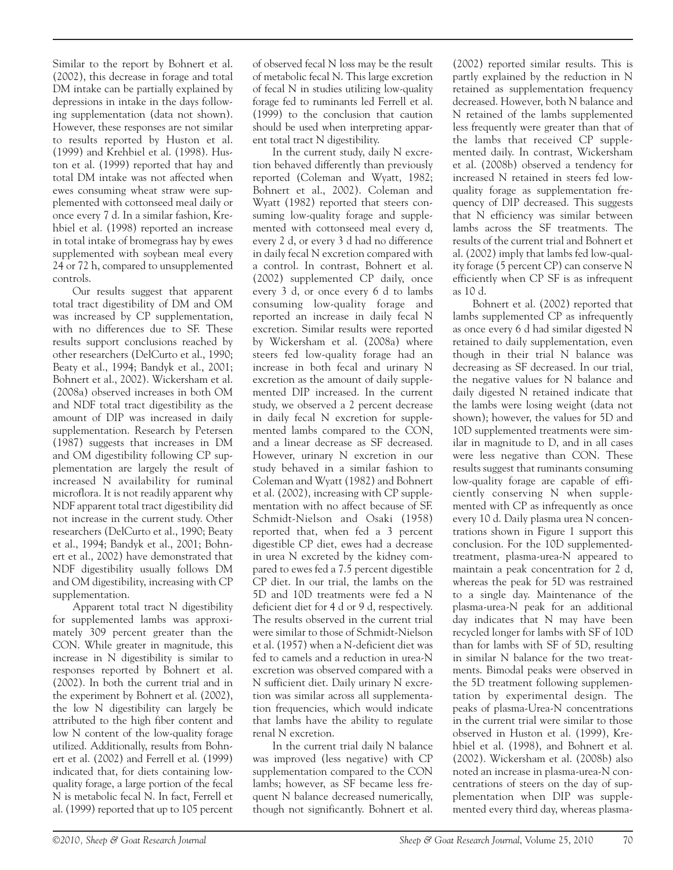Similar to the report by Bohnert et al. (2002), this decrease in forage and total DM intake can be partially explained by depressions in intake in the days following supplementation (data not shown). However, these responses are not similar to results reported by Huston et al. (1999) and Krehbiel et al. (1998). Huston et al. (1999) reported that hay and total DM intake was not affected when ewes consuming wheat straw were supplemented with cottonseed meal daily or once every 7 d. In a similar fashion, Krehbiel et al. (1998) reported an increase in total intake of bromegrass hay by ewes supplemented with soybean meal every 24 or 72 h, compared to unsupplemented controls.

Our results suggest that apparent total tract digestibility of DM and OM was increased by CP supplementation, with no differences due to SF. These results support conclusions reached by other researchers (DelCurto et al., 1990; Beaty et al., 1994; Bandyk et al., 2001; Bohnert et al., 2002). Wickersham et al. (2008a) observed increases in both OM and NDF total tract digestibility as the amount of DIP was increased in daily supplementation. Research by Petersen (1987) suggests that increases in DM and OM digestibility following CP supplementation are largely the result of increased N availability for ruminal microflora. It is not readily apparent why NDF apparent total tract digestibility did not increase in the current study. Other researchers (DelCurto et al., 1990; Beaty et al., 1994; Bandyk et al., 2001; Bohnert et al., 2002) have demonstrated that NDF digestibility usually follows DM and OM digestibility, increasing with CP supplementation.

Apparent total tract N digestibility for supplemented lambs was approximately 309 percent greater than the CON. While greater in magnitude, this increase in N digestibility is similar to responses reported by Bohnert et al. (2002). In both the current trial and in the experiment by Bohnert et al. (2002), the low N digestibility can largely be attributed to the high fiber content and low N content of the low-quality forage utilized. Additionally, results from Bohnert et al. (2002) and Ferrell et al. (1999) indicated that, for diets containing lowquality forage, a large portion of the fecal N is metabolic fecal N. In fact, Ferrell et al. (1999) reported that up to 105 percent

of observed fecal N loss may be the result of metabolic fecal N. This large excretion of fecal N in studies utilizing low-quality forage fed to ruminants led Ferrell et al. (1999) to the conclusion that caution should be used when interpreting apparent total tract N digestibility.

In the current study, daily N excretion behaved differently than previously reported (Coleman and Wyatt, 1982; Bohnert et al., 2002). Coleman and Wyatt (1982) reported that steers consuming low-quality forage and supplemented with cottonseed meal every d, every 2 d, or every 3 d had no difference in daily fecal N excretion compared with a control. In contrast, Bohnert et al. (2002) supplemented CP daily, once every 3 d, or once every 6 d to lambs consuming low-quality forage and reported an increase in daily fecal N excretion. Similar results were reported by Wickersham et al. (2008a) where steers fed low-quality forage had an increase in both fecal and urinary N excretion as the amount of daily supplemented DIP increased. In the current study, we observed a 2 percent decrease in daily fecal N excretion for supplemented lambs compared to the CON, and a linear decrease as SF decreased. However, urinary N excretion in our study behaved in a similar fashion to Coleman and Wyatt (1982) and Bohnert et al. (2002), increasing with CP supplementation with no affect because of SF. Schmidt-Nielson and Osaki (1958) reported that, when fed a 3 percent digestible CP diet, ewes had a decrease in urea N excreted by the kidney compared to ewes fed a 7.5 percent digestible CP diet. In our trial, the lambs on the 5D and 10D treatments were fed a N deficient diet for 4 d or 9 d, respectively. The results observed in the current trial were similar to those of Schmidt-Nielson et al. (1957) when a N-deficient diet was fed to camels and a reduction in urea-N excretion was observed compared with a N sufficient diet. Daily urinary N excretion was similar across all supplementation frequencies, which would indicate that lambs have the ability to regulate renal N excretion.

In the current trial daily N balance was improved (less negative) with CP supplementation compared to the CON lambs; however, as SF became less frequent N balance decreased numerically, though not significantly. Bohnert et al.

(2002) reported similar results. This is partly explained by the reduction in N retained as supplementation frequency decreased. However, both N balance and N retained of the lambs supplemented less frequently were greater than that of the lambs that received CP supplemented daily. In contrast, Wickersham et al. (2008b) observed a tendency for increased N retained in steers fed lowquality forage as supplementation frequency of DIP decreased. This suggests that N efficiency was similar between lambs across the SF treatments. The results of the current trial and Bohnert et al. (2002) imply that lambs fed low-quality forage (5 percent CP) can conserve N efficiently when CP SF is as infrequent as 10 d.

Bohnert et al. (2002) reported that lambs supplemented CP as infrequently as once every 6 d had similar digested N retained to daily supplementation, even though in their trial N balance was decreasing as SF decreased. In our trial, the negative values for N balance and daily digested N retained indicate that the lambs were losing weight (data not shown); however, the values for 5D and 10D supplemented treatments were similar in magnitude to D, and in all cases were less negative than CON. These results suggest that ruminants consuming low-quality forage are capable of efficiently conserving N when supplemented with CP as infrequently as once every 10 d. Daily plasma urea N concentrations shown in Figure 1 support this conclusion. For the 10D supplementedtreatment, plasma-urea-N appeared to maintain a peak concentration for 2 d, whereas the peak for 5D was restrained to a single day. Maintenance of the plasma-urea-N peak for an additional day indicates that N may have been recycled longer for lambs with SF of 10D than for lambs with SF of 5D, resulting in similar N balance for the two treatments. Bimodal peaks were observed in the 5D treatment following supplementation by experimental design. The peaks of plasma-Urea-N concentrations in the current trial were similar to those observed in Huston et al. (1999), Krehbiel et al. (1998), and Bohnert et al. (2002). Wickersham et al. (2008b) also noted an increase in plasma-urea-N concentrations of steers on the day of supplementation when DIP was supplemented every third day, whereas plasma-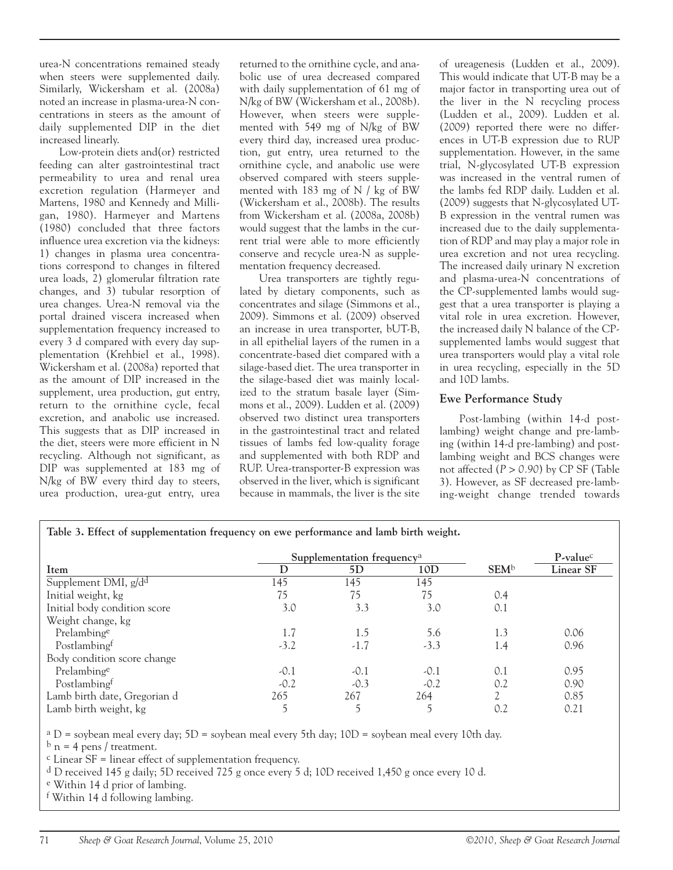urea-N concentrations remained steady when steers were supplemented daily. Similarly, Wickersham et al. (2008a) noted an increase in plasma-urea-N concentrations in steers as the amount of daily supplemented DIP in the diet increased linearly.

Low-protein diets and(or) restricted feeding can alter gastrointestinal tract permeability to urea and renal urea excretion regulation (Harmeyer and Martens, 1980 and Kennedy and Milligan, 1980). Harmeyer and Martens (1980) concluded that three factors influence urea excretion via the kidneys: 1) changes in plasma urea concentrations correspond to changes in filtered urea loads, 2) glomerular filtration rate changes, and 3) tubular resorption of urea changes. Urea-N removal via the portal drained viscera increased when supplementation frequency increased to every 3 d compared with every day supplementation (Krehbiel et al., 1998). Wickersham et al. (2008a) reported that as the amount of DIP increased in the supplement, urea production, gut entry, return to the ornithine cycle, fecal excretion, and anabolic use increased. This suggests that as DIP increased in the diet, steers were more efficient in N recycling. Although not significant, as DIP was supplemented at 183 mg of N/kg of BW every third day to steers, urea production, urea-gut entry, urea

returned to the ornithine cycle, and anabolic use of urea decreased compared with daily supplementation of 61 mg of N/kg of BW (Wickersham et al., 2008b). However, when steers were supplemented with 549 mg of N/kg of BW every third day, increased urea production, gut entry, urea returned to the ornithine cycle, and anabolic use were observed compared with steers supplemented with 183 mg of N / kg of BW (Wickersham et al., 2008b). The results from Wickersham et al. (2008a, 2008b) would suggest that the lambs in the current trial were able to more efficiently conserve and recycle urea-N as supplementation frequency decreased.

Urea transporters are tightly regulated by dietary components, such as concentrates and silage (Simmons et al., 2009). Simmons et al. (2009) observed an increase in urea transporter, bUT-B, in all epithelial layers of the rumen in a concentrate-based diet compared with a silage-based diet. The urea transporter in the silage-based diet was mainly localized to the stratum basale layer (Simmons et al., 2009). Ludden et al. (2009) observed two distinct urea transporters in the gastrointestinal tract and related tissues of lambs fed low-quality forage and supplemented with both RDP and RUP. Urea-transporter-B expression was observed in the liver, which is significant because in mammals, the liver is the site

of ureagenesis (Ludden et al., 2009). This would indicate that UT-B may be a major factor in transporting urea out of the liver in the N recycling process (Ludden et al., 2009). Ludden et al. (2009) reported there were no differences in UT-B expression due to RUP supplementation. However, in the same trial, N-glycosylated UT-B expression was increased in the ventral rumen of the lambs fed RDP daily. Ludden et al. (2009) suggests that N-glycosylated UT-B expression in the ventral rumen was increased due to the daily supplementation of RDP and may play a major role in urea excretion and not urea recycling. The increased daily urinary N excretion and plasma-urea-N concentrations of the CP-supplemented lambs would suggest that a urea transporter is playing a vital role in urea excretion. However, the increased daily N balance of the CPsupplemented lambs would suggest that urea transporters would play a vital role in urea recycling, especially in the 5D and 10D lambs.

#### **Ewe Performance Study**

Post-lambing (within 14-d postlambing) weight change and pre-lambing (within 14-d pre-lambing) and postlambing weight and BCS changes were not affected (*P > 0.90*) by CP SF (Table 3). However, as SF decreased pre-lambing-weight change trended towards

| Item                             | Supplementation frequency <sup>a</sup> |        |                 |                         | P-value <sup>c</sup> |
|----------------------------------|----------------------------------------|--------|-----------------|-------------------------|----------------------|
|                                  |                                        | 5D     | 10 <sub>D</sub> | <b>SEM</b> <sup>b</sup> | Linear SF            |
| Supplement DMI, g/d <sup>d</sup> | 145                                    | 145    | 145             |                         |                      |
| Initial weight, kg               | 75                                     | 75     | 75              | 0.4                     |                      |
| Initial body condition score     | 3.0                                    | 3.3    | 3.0             | 0.1                     |                      |
| Weight change, kg                |                                        |        |                 |                         |                      |
| Prelambinge                      | 1.7                                    | 1.5    | 5.6             | 1.3                     | 0.06                 |
| Postlambingf                     | $-3.2$                                 | $-1.7$ | $-3.3$          | 1.4                     | 0.96                 |
| Body condition score change      |                                        |        |                 |                         |                      |
| Prelambinge                      | $-0.1$                                 | $-0.1$ | $-0.1$          | 0.1                     | 0.95                 |
| Postlambingf                     | $-0.2$                                 | $-0.3$ | $-0.2$          | 0.2                     | 0.90                 |
| Lamb birth date, Gregorian d     | 265                                    | 267    | 264             |                         | 0.85                 |
| Lamb birth weight, kg            |                                        |        |                 | 0.2                     | 0.21                 |

 $a D$  = soybean meal every day; 5D = soybean meal every 5th day; 10D = soybean meal every 10th day.

 $b_n = 4$  pens / treatment.

 $\text{c}$  Linear SF = linear effect of supplementation frequency.

 $d$  D received 145 g daily; 5D received 725 g once every 5 d; 10D received 1,450 g once every 10 d.

e Within 14 d prior of lambing.

f Within 14 d following lambing.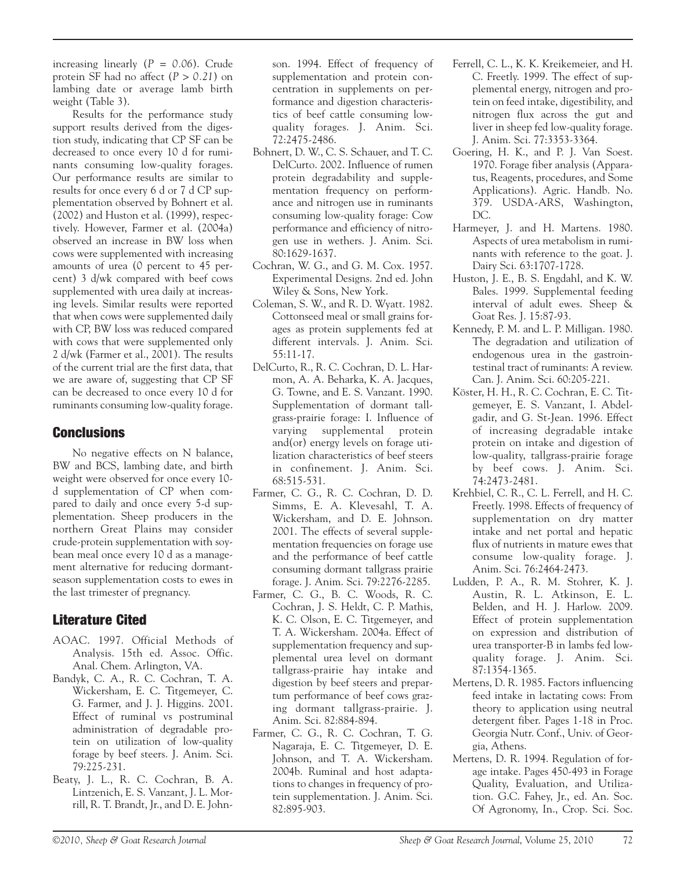increasing linearly (*P = 0.06*). Crude protein SF had no affect (*P > 0.21*) on lambing date or average lamb birth weight (Table 3).

Results for the performance study support results derived from the digestion study, indicating that CP SF can be decreased to once every 10 d for ruminants consuming low-quality forages. Our performance results are similar to results for once every 6 d or 7 d CP supplementation observed by Bohnert et al. (2002) and Huston et al. (1999), respectively. However, Farmer et al. (2004a) observed an increase in BW loss when cows were supplemented with increasing amounts of urea (0 percent to 45 percent) 3 d/wk compared with beef cows supplemented with urea daily at increasing levels. Similar results were reported that when cows were supplemented daily with CP, BW loss was reduced compared with cows that were supplemented only 2 d/wk (Farmer et al., 2001). The results of the current trial are the first data, that we are aware of, suggesting that CP SF can be decreased to once every 10 d for ruminants consuming low-quality forage.

# **Conclusions**

No negative effects on N balance, BW and BCS, lambing date, and birth weight were observed for once every 10 d supplementation of CP when compared to daily and once every 5-d supplementation. Sheep producers in the northern Great Plains may consider crude-protein supplementation with soybean meal once every 10 d as a management alternative for reducing dormantseason supplementation costs to ewes in the last trimester of pregnancy.

# Literature Cited

- AOAC. 1997. Official Methods of Analysis. 15th ed. Assoc. Offic. Anal. Chem. Arlington, VA.
- Bandyk, C. A., R. C. Cochran, T. A. Wickersham, E. C. Titgemeyer, C. G. Farmer, and J. J. Higgins. 2001. Effect of ruminal vs postruminal administration of degradable protein on utilization of low-quality forage by beef steers. J. Anim. Sci. 79:225-231.
- Beaty, J. L., R. C. Cochran, B. A. Lintzenich, E. S. Vanzant, J. L. Morrill, R. T. Brandt, Jr., and D. E. John-

son. 1994. Effect of frequency of supplementation and protein concentration in supplements on performance and digestion characteristics of beef cattle consuming lowquality forages. J. Anim. Sci. 72:2475-2486.

- Bohnert, D. W., C. S. Schauer, and T. C. DelCurto. 2002. Influence of rumen protein degradability and supplementation frequency on performance and nitrogen use in ruminants consuming low-quality forage: Cow performance and efficiency of nitrogen use in wethers. J. Anim. Sci. 80:1629-1637.
- Cochran, W. G., and G. M. Cox. 1957. Experimental Designs. 2nd ed. John Wiley & Sons, New York.
- Coleman, S. W., and R. D. Wyatt. 1982. Cottonseed meal or small grains forages as protein supplements fed at different intervals. J. Anim. Sci. 55:11-17.
- DelCurto, R., R. C. Cochran, D. L. Harmon, A. A. Beharka, K. A. Jacques, G. Towne, and E. S. Vanzant. 1990. Supplementation of dormant tallgrass-prairie forage: I. Influence of varying supplemental protein and(or) energy levels on forage utilization characteristics of beef steers in confinement. J. Anim. Sci. 68:515-531.
- Farmer, C. G., R. C. Cochran, D. D. Simms, E. A. Klevesahl, T. A. Wickersham, and D. E. Johnson. 2001. The effects of several supplementation frequencies on forage use and the performance of beef cattle consuming dormant tallgrass prairie forage. J. Anim. Sci. 79:2276-2285.
- Farmer, C. G., B. C. Woods, R. C. Cochran, J. S. Heldt, C. P. Mathis, K. C. Olson, E. C. Titgemeyer, and T. A. Wickersham. 2004a. Effect of supplementation frequency and supplemental urea level on dormant tallgrass-prairie hay intake and digestion by beef steers and prepartum performance of beef cows grazing dormant tallgrass-prairie. J. Anim. Sci. 82:884-894.
- Farmer, C. G., R. C. Cochran, T. G. Nagaraja, E. C. Titgemeyer, D. E. Johnson, and T. A. Wickersham. 2004b. Ruminal and host adaptations to changes in frequency of protein supplementation. J. Anim. Sci. 82:895-903.
- Ferrell, C. L., K. K. Kreikemeier, and H. C. Freetly. 1999. The effect of supplemental energy, nitrogen and protein on feed intake, digestibility, and nitrogen flux across the gut and liver in sheep fed low-quality forage. J. Anim. Sci. 77:3353-3364.
- Goering, H. K., and P. J. Van Soest. 1970. Forage fiber analysis (Apparatus, Reagents, procedures, and Some Applications). Agric. Handb. No. 379. USDA-ARS, Washington, DC.
- Harmeyer, J. and H. Martens. 1980. Aspects of urea metabolism in ruminants with reference to the goat. J. Dairy Sci. 63:1707-1728.
- Huston, J. E., B. S. Engdahl, and K. W. Bales. 1999. Supplemental feeding interval of adult ewes. Sheep & Goat Res. J. 15:87-93.
- Kennedy, P. M. and L. P. Milligan. 1980. The degradation and utilization of endogenous urea in the gastrointestinal tract of ruminants: A review. Can. J. Anim. Sci. 60:205-221.
- Köster, H. H., R. C. Cochran, E. C. Titgemeyer, E. S. Vanzant, I. Abdelgadir, and G. St-Jean. 1996. Effect of increasing degradable intake protein on intake and digestion of low-quality, tallgrass-prairie forage by beef cows. J. Anim. Sci. 74:2473-2481.
- Krehbiel, C. R., C. L. Ferrell, and H. C. Freetly. 1998. Effects of frequency of supplementation on dry matter intake and net portal and hepatic flux of nutrients in mature ewes that consume low-quality forage. J. Anim. Sci. 76:2464-2473.
- Ludden, P. A., R. M. Stohrer, K. J. Austin, R. L. Atkinson, E. L. Belden, and H. J. Harlow. 2009. Effect of protein supplementation on expression and distribution of urea transporter-B in lambs fed lowquality forage. J. Anim. Sci. 87:1354-1365.
- Mertens, D. R. 1985. Factors influencing feed intake in lactating cows: From theory to application using neutral detergent fiber. Pages 1-18 in Proc. Georgia Nutr. Conf., Univ. of Georgia, Athens.
- Mertens, D. R. 1994. Regulation of forage intake. Pages 450-493 in Forage Quality, Evaluation, and Utilization. G.C. Fahey, Jr., ed. An. Soc. Of Agronomy, In., Crop. Sci. Soc.